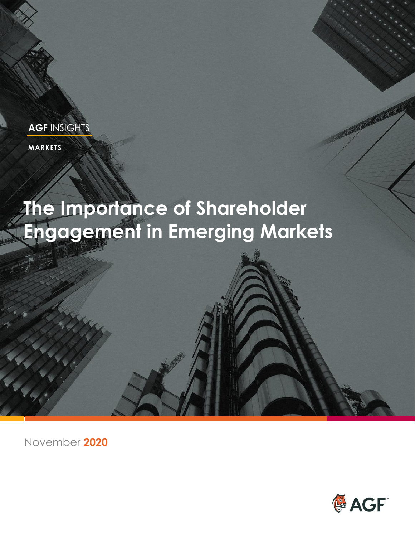**MARKETS**

# **The Importance of Shareholder Engagement in Emerging Markets**

November **2020**

**RANDARIA** 

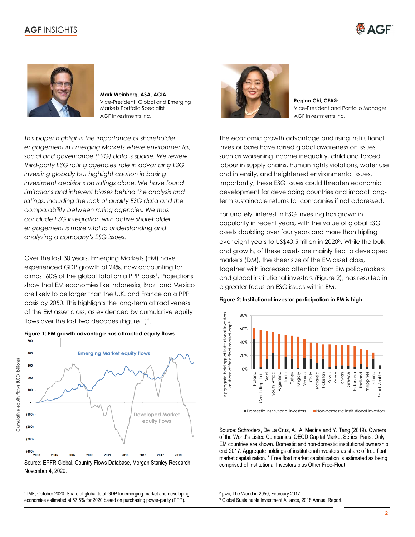



**Mark Weinberg, ASA, ACIA** Vice-President, Global and Emerging Markets Portfolio Specialist AGF Investments Inc.

*This paper highlights the importance of shareholder engagement in Emerging Markets where environmental, social and governance (ESG) data is sparse. We review third-party ESG rating agencies' role in advancing ESG investing globally but highlight caution in basing investment decisions on ratings alone. We have found limitations and inherent biases behind the analysis and ratings, including the lack of quality ESG data and the comparability between rating agencies. We thus conclude ESG integration with active shareholder engagement is more vital to understanding and analyzing a company's ESG issues.*

Over the last 30 years, Emerging Markets (EM) have experienced GDP growth of 24%, now accounting for almost 60% of the global total on a PPP basis<sup>1</sup>. Projections show that EM economies like Indonesia, Brazil and Mexico are likely to be larger than the U.K. and France on a PPP basis by 2050. This highlights the long-term attractiveness of the EM asset class, as evidenced by cumulative equity flows over the last two decades (Figure 1)<sup>2</sup>.



Cumulative equity flows (USD, billions)

Cumulative equity flows (USD, billions)

**Figure 1: EM growth advantage has attracted equity flows**

Source: EPFR Global, Country Flows Database, Morgan Stanley Research, November 4, 2020.



**Regina Chi, CFA®** Vice-President and Portfolio Manager AGF Investments Inc.

The economic growth advantage and rising institutional investor base have raised global awareness on issues such as worsening income inequality, child and forced labour in supply chains, human rights violations, water use and intensity, and heightened environmental issues. Importantly, these ESG issues could threaten economic development for developing countries and impact longterm sustainable returns for companies if not addressed.

Fortunately, interest in ESG investing has grown in popularity in recent years, with the value of global ESG assets doubling over four years and more than tripling over eight years to US\$40.5 trillion in 20203. While the bulk, and growth, of these assets are mainly tied to developed markets (DM), the sheer size of the EM asset class, together with increased attention from EM policymakers and global institutional investors (Figure 2), has resulted in a greater focus on ESG issues within EM.





Source: Schroders, De La Cruz, A., A. Medina and Y. Tang (2019). Owners of the World's Listed Companies' OECD Capital Market Series, Paris. Only EM countries are shown. Domestic and non-domestic institutional ownership, end 2017. Aggregate holdings of institutional investors as share of free float market capitalization. \* Free float market capitalization is estimated as being comprised of Institutional Investors plus Other Free-Float.

<sup>2</sup> pwc, The World in 2050, February 2017.

<sup>&</sup>lt;sup>1</sup> IMF, October 2020. Share of global total GDP for emerging market and developing economies estimated at 57.5% for 2020 based on purchasing power-parity (PPP).

<sup>&</sup>lt;sup>3</sup> Global Sustainable Investment Alliance, 2018 Annual Report.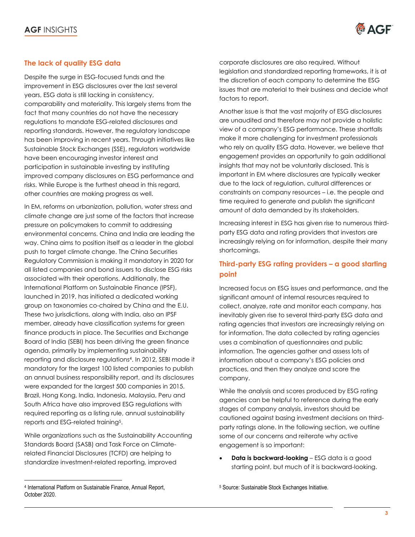

## **The lack of quality ESG data**

Despite the surge in ESG-focused funds and the improvement in ESG disclosures over the last several years, ESG data is still lacking in consistency, comparability and materiality. This largely stems from the fact that many countries do not have the necessary regulations to mandate ESG-related disclosures and reporting standards. However, the regulatory landscape has been improving in recent years. Through initiatives like Sustainable Stock Exchanges (SSE), regulators worldwide have been encouraging investor interest and participation in sustainable investing by instituting improved company disclosures on ESG performance and risks. While Europe is the furthest ahead in this regard, other countries are making progress as well.

In EM, reforms on urbanization, pollution, water stress and climate change are just some of the factors that increase pressure on policymakers to commit to addressing environmental concerns. China and India are leading the way. China aims to position itself as a leader in the global push to target climate change. The China Securities Regulatory Commission is making it mandatory in 2020 for all listed companies and bond issuers to disclose ESG risks associated with their operations. Additionally, the International Platform on Sustainable Finance (IPSF), launched in 2019, has initiated a dedicated working group on taxonomies co-chaired by China and the E.U. These two jurisdictions, along with India, also an IPSF member, already have classification systems for green finance products in place. The Securities and Exchange Board of India (SEBI) has been driving the green finance agenda, primarily by implementing sustainability reporting and disclosure regulations<sup>4</sup> . In 2012, SEBI made it mandatory for the largest 100 listed companies to publish an annual business responsibility report, and its disclosures were expanded for the largest 500 companies in 2015. Brazil, Hong Kong, India, Indonesia, Malaysia, Peru and South Africa have also improved ESG regulations with required reporting as a listing rule, annual sustainability reports and ESG-related training<sup>5</sup>.

While organizations such as the Sustainability Accounting Standards Board (SASB) and Task Force on Climaterelated Financial Disclosures (TCFD) are helping to standardize investment-related reporting, improved

corporate disclosures are also required. Without legislation and standardized reporting frameworks, it is at the discretion of each company to determine the ESG issues that are material to their business and decide what factors to report.

Another issue is that the vast majority of ESG disclosures are unaudited and therefore may not provide a holistic view of a company's ESG performance. These shortfalls make it more challenging for investment professionals who rely on quality ESG data. However, we believe that engagement provides an opportunity to gain additional insights that may not be voluntarily disclosed. This is important in EM where disclosures are typically weaker due to the lack of regulation, cultural differences or constraints on company resources – i.e. the people and time required to generate and publish the significant amount of data demanded by its stakeholders.

Increasing interest in ESG has given rise to numerous thirdparty ESG data and rating providers that investors are increasingly relying on for information, despite their many shortcomings.

## **Third-party ESG rating providers – a good starting point**

Increased focus on ESG issues and performance, and the significant amount of internal resources required to collect, analyze, rate and monitor each company, has inevitably given rise to several third-party ESG data and rating agencies that investors are increasingly relying on for information. The data collected by rating agencies uses a combination of questionnaires and public information. The agencies gather and assess lots of information about a company's ESG policies and practices, and then they analyze and score the company.

While the analysis and scores produced by ESG rating agencies can be helpful to reference during the early stages of company analysis, investors should be cautioned against basing investment decisions on thirdparty ratings alone. In the following section, we outline some of our concerns and reiterate why active engagement is so important:

**Data is backward-looking** – ESG data is a good starting point, but much of it is backward-looking.

<sup>4</sup> International Platform on Sustainable Finance, Annual Report, October 2020.

<sup>5</sup> Source: Sustainable Stock Exchanges Initiative.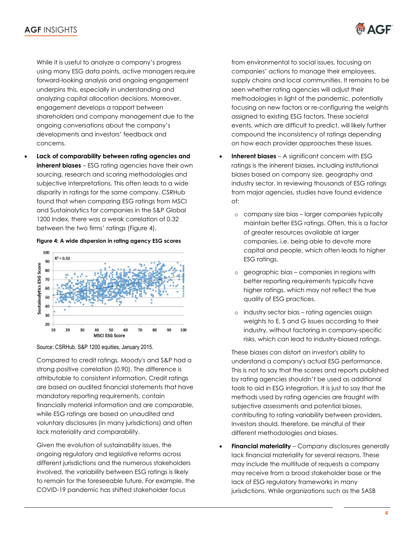

While it is useful to analyze a company's progress using many ESG data points, active managers require forward-looking analysis and ongoing engagement underpins this, especially in understanding and analyzing capital allocation decisions. Moreover, engagement develops a rapport between shareholders and company management due to the ongoing conversations about the company's developments and investors' feedback and concerns.

• **Lack of comparability between rating agencies and inherent biases** – ESG rating agencies have their own sourcing, research and scoring methodologies and subjective interpretations. This often leads to a wide disparity in ratings for the same company. CSRHub found that when comparing ESG ratings from MSCI and Sustainalytics for companies in the S&P Global 1200 Index, there was a weak correlation of 0.32 between the two firms' ratings (Figure 4).



#### **Figure 4: A wide dispersion in rating agency ESG scores**

Source: CSRHub. S&P 1200 equities, January 2015.

Compared to credit ratings, Moody's and S&P had a strong positive correlation (0.90). The difference is attributable to consistent information. Credit ratings are based on audited financial statements that have mandatory reporting requirements, contain financially material information and are comparable, while ESG ratings are based on unaudited and voluntary disclosures (in many jurisdictions) and often lack materiality and comparability.

Given the evolution of sustainability issues, the ongoing regulatory and legislative reforms across different jurisdictions and the numerous stakeholders involved, the variability between ESG ratings is likely to remain for the foreseeable future. For example, the COVID-19 pandemic has shifted stakeholder focus

from environmental to social issues, focusing on companies' actions to manage their employees, supply chains and local communities. It remains to be seen whether rating agencies will adjust their methodologies in light of the pandemic, potentially focusing on new factors or re-configuring the weights assigned to existing ESG factors. These societal events, which are difficult to predict, will likely further compound the inconsistency of ratings depending on how each provider approaches these issues.

- **Inherent biases** A significant concern with ESG ratings is the inherent biases, including institutional biases based on company size, geography and industry sector. In reviewing thousands of ESG ratings from major agencies, studies have found evidence of:
	- o company size bias larger companies typically maintain better ESG ratings. Often, this is a factor of greater resources available at larger companies, i.e. being able to devote more capital and people, which often leads to higher ESG ratings.
	- o geographic bias companies in regions with better reporting requirements typically have higher ratings, which may not reflect the true quality of ESG practices.
	- o industry sector bias rating agencies assign weights to E, S and G issues according to their industry, without factoring in company-specific risks, which can lead to industry-biased ratings.

These biases can distort an investor's ability to understand a company's actual ESG performance. This is not to say that the scores and reports published by rating agencies shouldn't be used as additional tools to aid in ESG integration. It is just to say that the methods used by rating agencies are fraught with subjective assessments and potential biases, contributing to rating variability between providers. Investors should, therefore, be mindful of their different methodologies and biases.

**Financial materiality** – Company disclosures generally lack financial materiality for several reasons. These may include the multitude of requests a company may receive from a broad stakeholder base or the lack of ESG regulatory frameworks in many jurisdictions. While organizations such as the SASB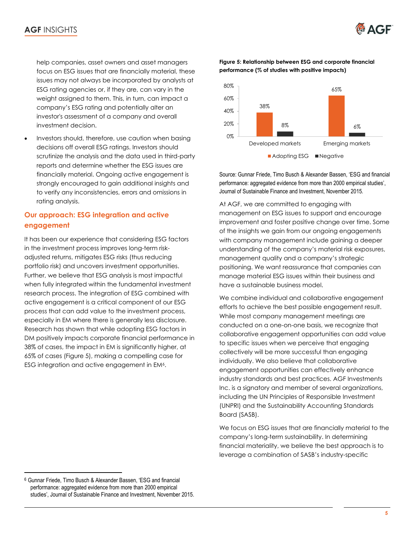**EXAGE** 

help companies, asset owners and asset managers focus on ESG issues that are financially material, these issues may not always be incorporated by analysts at ESG rating agencies or, if they are, can vary in the weight assigned to them. This, in turn, can impact a company's ESG rating and potentially alter an investor's assessment of a company and overall investment decision.

Investors should, therefore, use caution when basing decisions off overall ESG ratings. Investors should scrutinize the analysis and the data used in third-party reports and determine whether the ESG issues are financially material. Ongoing active engagement is strongly encouraged to gain additional insights and to verify any inconsistencies, errors and omissions in rating analysis.

## **Our approach: ESG integration and active engagement**

It has been our experience that considering ESG factors in the investment process improves long-term riskadjusted returns, mitigates ESG risks (thus reducing portfolio risk) and uncovers investment opportunities. Further, we believe that ESG analysis is most impactful when fully integrated within the fundamental investment research process. The integration of ESG combined with active engagement is a critical component of our ESG process that can add value to the investment process, especially in EM where there is generally less disclosure. Research has shown that while adopting ESG factors in DM positively impacts corporate financial performance in 38% of cases, the impact in EM is significantly higher, at 65% of cases (Figure 5), making a compelling case for ESG integration and active engagement in EM<sup>6</sup>.

#### **Figure 5: Relationship between ESG and corporate financial performance (% of studies with positive impacts)**



Source: Gunnar Friede, Timo Busch & Alexander Bassen, 'ESG and financial performance: aggregated evidence from more than 2000 empirical studies', Journal of Sustainable Finance and Investment, November 2015.

At AGF, we are committed to engaging with management on ESG issues to support and encourage improvement and foster positive change over time. Some of the insights we gain from our ongoing engagements with company management include gaining a deeper understanding of the company's material risk exposures, management quality and a company's strategic positioning. We want reassurance that companies can manage material ESG issues within their business and have a sustainable business model.

We combine individual and collaborative engagement efforts to achieve the best possible engagement result. While most company management meetings are conducted on a one-on-one basis, we recognize that collaborative engagement opportunities can add value to specific issues when we perceive that engaging collectively will be more successful than engaging individually. We also believe that collaborative engagement opportunities can effectively enhance industry standards and best practices. AGF Investments Inc. is a signatory and member of several organizations, including the UN Principles of Responsible Investment (UNPRI) and the Sustainability Accounting Standards Board (SASB).

We focus on ESG issues that are financially material to the company's long-term sustainability. In determining financial materiality, we believe the best approach is to leverage a combination of SASB's industry-specific

<sup>6</sup> Gunnar Friede, Timo Busch & Alexander Bassen, 'ESG and financial performance: aggregated evidence from more than 2000 empirical studies', Journal of Sustainable Finance and Investment, November 2015.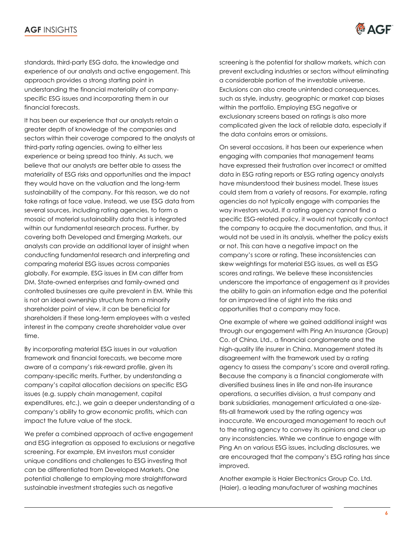

standards, third-party ESG data, the knowledge and experience of our analysts and active engagement. This approach provides a strong starting point in understanding the financial materiality of companyspecific ESG issues and incorporating them in our financial forecasts.

It has been our experience that our analysts retain a greater depth of knowledge of the companies and sectors within their coverage compared to the analysts at third-party rating agencies, owing to either less experience or being spread too thinly. As such, we believe that our analysts are better able to assess the materiality of ESG risks and opportunities and the impact they would have on the valuation and the long-term sustainability of the company. For this reason, we do not take ratings at face value. Instead, we use ESG data from several sources, including rating agencies, to form a mosaic of material sustainability data that is integrated within our fundamental research process. Further, by covering both Developed and Emerging Markets, our analysts can provide an additional layer of insight when conducting fundamental research and interpreting and comparing material ESG issues across companies globally. For example, ESG issues in EM can differ from DM. State-owned enterprises and family-owned and controlled businesses are quite prevalent in EM. While this is not an ideal ownership structure from a minority shareholder point of view, it can be beneficial for shareholders if these long-term employees with a vested interest in the company create shareholder value over time.

By incorporating material ESG issues in our valuation framework and financial forecasts, we become more aware of a company's risk-reward profile, given its company-specific merits. Further, by understanding a company's capital allocation decisions on specific ESG issues (e.g. supply chain management, capital expenditures, etc.), we gain a deeper understanding of a company's ability to grow economic profits, which can impact the future value of the stock.

We prefer a combined approach of active engagement and ESG integration as opposed to exclusions or negative screening. For example, EM investors must consider unique conditions and challenges to ESG investing that can be differentiated from Developed Markets. One potential challenge to employing more straightforward sustainable investment strategies such as negative

screening is the potential for shallow markets, which can prevent excluding industries or sectors without eliminating a considerable portion of the investable universe. Exclusions can also create unintended consequences, such as style, industry, geographic or market cap biases within the portfolio. Employing ESG negative or exclusionary screens based on ratings is also more complicated given the lack of reliable data, especially if the data contains errors or omissions.

On several occasions, it has been our experience when engaging with companies that management teams have expressed their frustration over incorrect or omitted data in ESG rating reports or ESG rating agency analysts have misunderstood their business model. These issues could stem from a variety of reasons. For example, rating agencies do not typically engage with companies the way investors would. If a rating agency cannot find a specific ESG-related policy, it would not typically contact the company to acquire the documentation, and thus, it would not be used in its analysis, whether the policy exists or not. This can have a negative impact on the company's score or rating. These inconsistencies can skew weightings for material ESG issues, as well as ESG scores and ratings. We believe these inconsistencies underscore the importance of engagement as it provides the ability to gain an information edge and the potential for an improved line of sight into the risks and opportunities that a company may face.

One example of where we gained additional insight was through our engagement with Ping An Insurance (Group) Co. of China, Ltd., a financial conglomerate and the high-quality life insurer in China. Management stated its disagreement with the framework used by a rating agency to assess the company's score and overall rating. Because the company is a financial conglomerate with diversified business lines in life and non-life insurance operations, a securities division, a trust company and bank subsidiaries, management articulated a one-sizefits-all framework used by the rating agency was inaccurate. We encouraged management to reach out to the rating agency to convey its opinions and clear up any inconsistencies. While we continue to engage with Ping An on various ESG issues, including disclosures, we are encouraged that the company's ESG rating has since improved.

Another example is Haier Electronics Group Co. Ltd. (Haier), a leading manufacturer of washing machines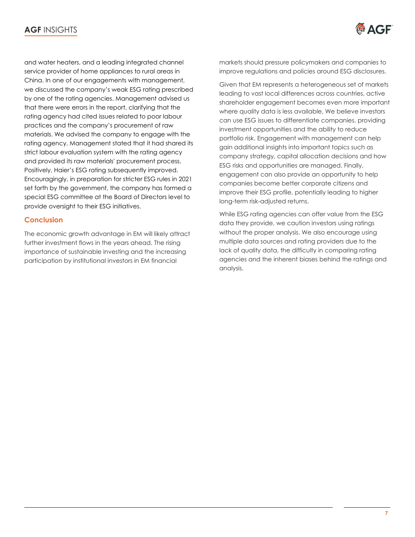

and water heaters, and a leading integrated channel service provider of home appliances to rural areas in China. In one of our engagements with management, we discussed the company's weak ESG rating prescribed by one of the rating agencies. Management advised us that there were errors in the report, clarifying that the rating agency had cited issues related to poor labour practices and the company's procurement of raw materials. We advised the company to engage with the rating agency. Management stated that it had shared its strict labour evaluation system with the rating agency and provided its raw materials' procurement process. Positively, Haier's ESG rating subsequently improved. Encouragingly, in preparation for stricter ESG rules in 2021 set forth by the government, the company has formed a special ESG committee at the Board of Directors level to provide oversight to their ESG initiatives.

### **Conclusion**

The economic growth advantage in EM will likely attract further investment flows in the years ahead. The rising importance of sustainable investing and the increasing participation by institutional investors in EM financial

markets should pressure policymakers and companies to improve regulations and policies around ESG disclosures.

Given that EM represents a heterogeneous set of markets leading to vast local differences across countries, active shareholder engagement becomes even more important where quality data is less available. We believe investors can use ESG issues to differentiate companies, providing investment opportunities and the ability to reduce portfolio risk. Engagement with management can help gain additional insights into important topics such as company strategy, capital allocation decisions and how ESG risks and opportunities are managed. Finally, engagement can also provide an opportunity to help companies become better corporate citizens and improve their ESG profile, potentially leading to higher long-term risk-adjusted returns.

While ESG rating agencies can offer value from the ESG data they provide, we caution investors using ratings without the proper analysis. We also encourage using multiple data sources and rating providers due to the lack of quality data, the difficulty in comparing rating agencies and the inherent biases behind the ratings and analysis.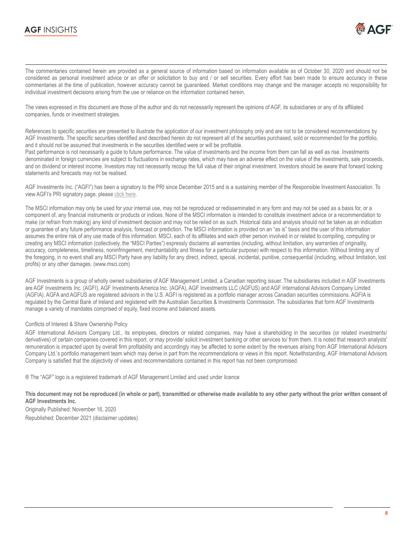

The commentaries contained herein are provided as a general source of information based on information available as of October 30, 2020 and should not be considered as personal investment advice or an offer or solicitation to buy and / or sell securities. Every effort has been made to ensure accuracy in these commentaries at the time of publication, however accuracy cannot be guaranteed. Market conditions may change and the manager accepts no responsibility for individual investment decisions arising from the use or reliance on the information contained herein.

The views expressed in this document are those of the author and do not necessarily represent the opinions of AGF, its subsidiaries or any of its affiliated companies, funds or investment strategies.

References to specific securities are presented to illustrate the application of our investment philosophy only and are not to be considered recommendations by AGF Investments. The specific securities identified and described herein do not represent all of the securities purchased, sold or recommended for the portfolio, and it should not be assumed that investments in the securities identified were or will be profitable.

Past performance is not necessarily a guide to future performance. The value of investments and the income from them can fall as well as rise. Investments denominated in foreign currencies are subject to fluctuations in exchange rates, which may have an adverse effect on the value of the investments, sale proceeds, and on dividend or interest income. Investors may not necessarily recoup the full value of their original investment. Investors should be aware that forward looking statements and forecasts may not be realised.

AGF Investments Inc. ("AGFI") has been a signatory to the PRI since December 2015 and is a sustaining member of the Responsible Investment Association. To view AGFI's PRI signatory page, please [click here.](https://www.unpri.org/signatory-directory/agf-investments-inc/2001.article)

The MSCI information may only be used for your internal use, may not be reproduced or redisseminated in any form and may not be used as a basis for, or a component of, any financial instruments or products or indices. None of the MSCI information is intended to constitute investment advice or a recommendation to make (or refrain from making) any kind of investment decision and may not be relied on as such. Historical data and analysis should not be taken as an indication or guarantee of any future performance analysis, forecast or prediction. The MSCI information is provided on an "as is" basis and the user of this information assumes the entire risk of any use made of this information. MSCI, each of its affiliates and each other person involved in or related to compiling, computing or creating any MSCI information (collectively, the "MSCI Parties") expressly disclaims all warranties (including, without limitation, any warranties of originality, accuracy, completeness, timeliness, noninfringement, merchantability and fitness for a particular purpose) with respect to this information. Without limiting any of the foregoing, in no event shall any MSCI Party have any liability for any direct, indirect, special, incidental, punitive, consequential (including, without limitation, lost profits) or any other damages. [\(www.msci.com\)](http://www.msci.com/)

AGF Investments is a group of wholly owned subsidiaries of AGF Management Limited, a Canadian reporting issuer. The subsidiaries included in AGF Investments are AGF Investments Inc. (AGFI), AGF Investments America Inc. (AGFA), AGF Investments LLC (AGFUS) and AGF International Advisors Company Limited (AGFIA). AGFA and AGFUS are registered advisors in the U.S. AGFI is registered as a portfolio manager across Canadian securities commissions. AGFIA is regulated by the Central Bank of Ireland and registered with the Australian Securities & Investments Commission. The subsidiaries that form AGF Investments manage a variety of mandates comprised of equity, fixed income and balanced assets.

#### Conflicts of Interest & Share Ownership Policy

AGF International Advisors Company Ltd., its employees, directors or related companies, may have a shareholding in the securities (or related investments/ derivatives) of certain companies covered in this report, or may provide/ solicit investment banking or other services to/ from them. It is noted that research analysts' remuneration is impacted upon by overall firm profitability and accordingly may be affected to some extent by the revenues arising from AGF International Advisors Company Ltd.'s portfolio management team which may derive in part from the recommendations or views in this report. Notwithstanding, AGF International Advisors Company is satisfied that the objectivity of views and recommendations contained in this report has not been compromised.

® The "AGF" logo is a registered trademark of AGF Management Limited and used under licence

**This document may not be reproduced (in whole or part), transmitted or otherwise made available to any other party without the prior written consent of AGF Investments Inc.**

Originally Published: November 16, 2020 Republished: December 2021 (disclaimer updates)